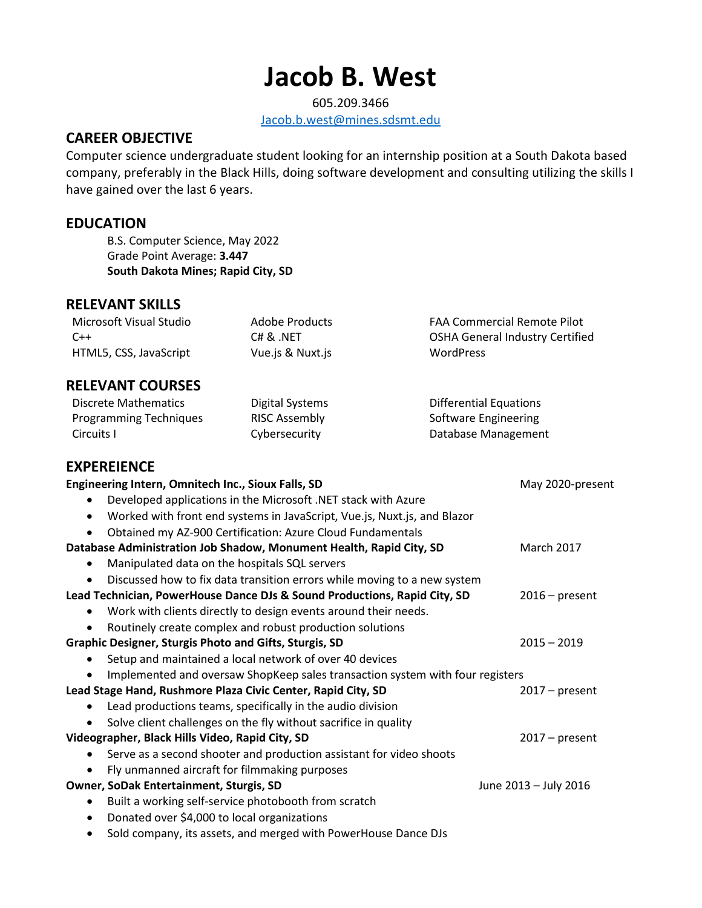# **Jacob B. West**

605.209.3466 [Jacob.b.west@mines.sdsmt.edu](mailto:Jacob.b.west@mines.sdsmt.edu)

## **CAREER OBJECTIVE**

Computer science undergraduate student looking for an internship position at a South Dakota based company, preferably in the Black Hills, doing software development and consulting utilizing the skills I have gained over the last 6 years.

## **EDUCATION**

B.S. Computer Science, May 2022 Grade Point Average: **3.447 South Dakota Mines; Rapid City, SD**

## **RELEVANT SKILLS**

| Microsoft Visual Studio | Adobe Products   | <b>FAA Commercial Remote Pilot</b> |
|-------------------------|------------------|------------------------------------|
| $C++$                   | C# & .NET        | OSHA General Industry Certified    |
| HTML5, CSS, JavaScript  | Vue.js & Nuxt.js | <b>WordPress</b>                   |
|                         |                  |                                    |

## **RELEVANT COURSES**

| Discrete Mathematics          | Digital Systems | <b>Differential Equations</b> |
|-------------------------------|-----------------|-------------------------------|
| <b>Programming Techniques</b> | RISC Assembly   | Software Engineering          |
| Circuits I                    | Cybersecurity   | Database Management           |

## **EXPEREIENCE**

| Engineering Intern, Omnitech Inc., Sioux Falls, SD                                    | May 2020-present      |
|---------------------------------------------------------------------------------------|-----------------------|
| Developed applications in the Microsoft .NET stack with Azure                         |                       |
| Worked with front end systems in JavaScript, Vue.js, Nuxt.js, and Blazor<br>$\bullet$ |                       |
| Obtained my AZ-900 Certification: Azure Cloud Fundamentals                            |                       |
| Database Administration Job Shadow, Monument Health, Rapid City, SD                   | <b>March 2017</b>     |
| Manipulated data on the hospitals SQL servers<br>$\bullet$                            |                       |
| Discussed how to fix data transition errors while moving to a new system<br>$\bullet$ |                       |
| Lead Technician, PowerHouse Dance DJs & Sound Productions, Rapid City, SD             | $2016$ – present      |
| Work with clients directly to design events around their needs.                       |                       |
| Routinely create complex and robust production solutions                              |                       |
| <b>Graphic Designer, Sturgis Photo and Gifts, Sturgis, SD</b>                         | $2015 - 2019$         |
| Setup and maintained a local network of over 40 devices                               |                       |
| Implemented and oversaw ShopKeep sales transaction system with four registers         |                       |
| Lead Stage Hand, Rushmore Plaza Civic Center, Rapid City, SD                          | $2017 - present$      |
| Lead productions teams, specifically in the audio division                            |                       |
| Solve client challenges on the fly without sacrifice in quality                       |                       |
| Videographer, Black Hills Video, Rapid City, SD                                       | $2017 - present$      |
| Serve as a second shooter and production assistant for video shoots                   |                       |
| Fly unmanned aircraft for filmmaking purposes                                         |                       |
| Owner, SoDak Entertainment, Sturgis, SD                                               | June 2013 - July 2016 |
| Built a working self-service photobooth from scratch                                  |                       |
| Donated over \$4,000 to local organizations<br>$\bullet$                              |                       |
| Sold company, its assets, and merged with PowerHouse Dance DJs<br>٠                   |                       |